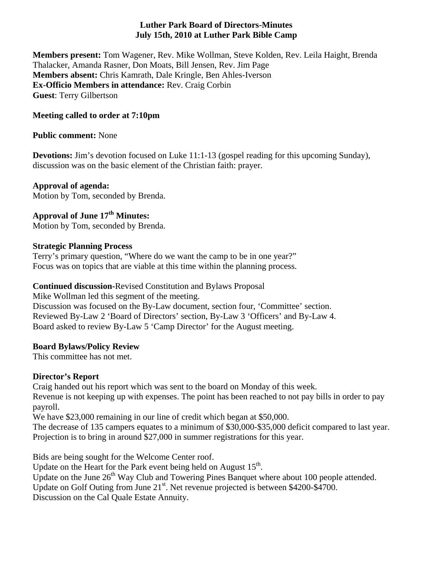#### **Luther Park Board of Directors-Minutes July 15th, 2010 at Luther Park Bible Camp**

**Members present:** Tom Wagener, Rev. Mike Wollman, Steve Kolden, Rev. Leila Haight, Brenda Thalacker, Amanda Rasner, Don Moats, Bill Jensen, Rev. Jim Page **Members absent:** Chris Kamrath, Dale Kringle, Ben Ahles-Iverson **Ex-Officio Members in attendance:** Rev. Craig Corbin **Guest**: Terry Gilbertson

# **Meeting called to order at 7:10pm**

#### **Public comment:** None

**Devotions:** Jim's devotion focused on Luke 11:1-13 (gospel reading for this upcoming Sunday), discussion was on the basic element of the Christian faith: prayer.

# **Approval of agenda:**

Motion by Tom, seconded by Brenda.

# Approval of June 17<sup>th</sup> Minutes:

Motion by Tom, seconded by Brenda.

# **Strategic Planning Process**

Terry's primary question, "Where do we want the camp to be in one year?" Focus was on topics that are viable at this time within the planning process.

# **Continued discussion-**Revised Constitution and Bylaws Proposal

Mike Wollman led this segment of the meeting.

Discussion was focused on the By-Law document, section four, 'Committee' section. Reviewed By-Law 2 'Board of Directors' section, By-Law 3 'Officers' and By-Law 4. Board asked to review By-Law 5 'Camp Director' for the August meeting.

# **Board Bylaws/Policy Review**

This committee has not met.

# **Director's Report**

Craig handed out his report which was sent to the board on Monday of this week. Revenue is not keeping up with expenses. The point has been reached to not pay bills in order to pay payroll.

We have \$23,000 remaining in our line of credit which began at \$50,000.

The decrease of 135 campers equates to a minimum of \$30,000-\$35,000 deficit compared to last year. Projection is to bring in around \$27,000 in summer registrations for this year.

Bids are being sought for the Welcome Center roof.

Update on the Heart for the Park event being held on August 15<sup>th</sup>.

Update on the June  $26<sup>th</sup>$  Way Club and Towering Pines Banquet where about 100 people attended.

Update on Golf Outing from June  $21^{st}$ . Net revenue projected is between \$4200-\$4700.

Discussion on the Cal Quale Estate Annuity.